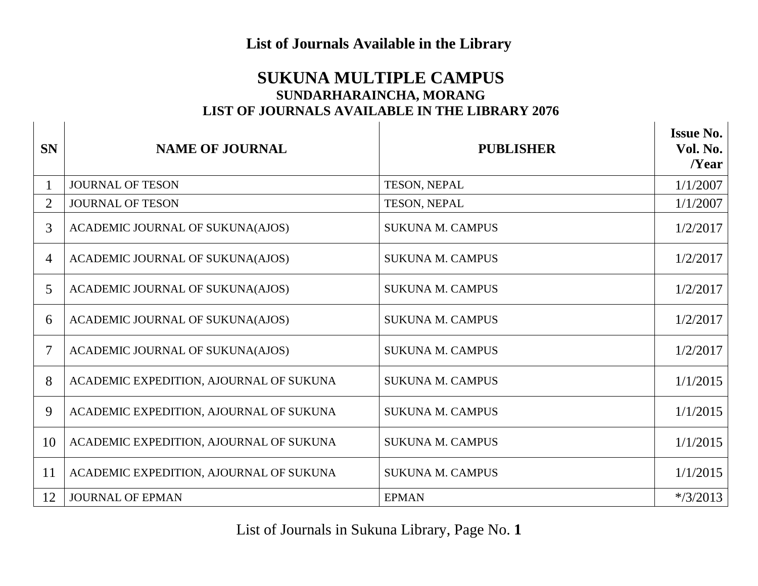## **List of Journals Available in the Library**

## **SUKUNA MULTIPLE CAMPUS SUNDARHARAINCHA, MORANG LIST OF JOURNALS AVAILABLE IN THE LIBRARY 2076**

 $\mathbf{I}$ 

| <b>SN</b>      | <b>NAME OF JOURNAL</b>                  | <b>PUBLISHER</b>        | <b>Issue No.</b><br>Vol. No.<br>Near |
|----------------|-----------------------------------------|-------------------------|--------------------------------------|
|                | <b>JOURNAL OF TESON</b>                 | TESON, NEPAL            | 1/1/2007                             |
| $\overline{2}$ | <b>JOURNAL OF TESON</b>                 | TESON, NEPAL            | 1/1/2007                             |
| 3              | ACADEMIC JOURNAL OF SUKUNA(AJOS)        | <b>SUKUNA M. CAMPUS</b> | 1/2/2017                             |
| $\overline{4}$ | ACADEMIC JOURNAL OF SUKUNA(AJOS)        | <b>SUKUNA M. CAMPUS</b> | 1/2/2017                             |
| 5              | ACADEMIC JOURNAL OF SUKUNA(AJOS)        | <b>SUKUNA M. CAMPUS</b> | 1/2/2017                             |
| 6              | ACADEMIC JOURNAL OF SUKUNA(AJOS)        | <b>SUKUNA M. CAMPUS</b> | 1/2/2017                             |
| 7              | ACADEMIC JOURNAL OF SUKUNA(AJOS)        | <b>SUKUNA M. CAMPUS</b> | 1/2/2017                             |
| 8              | ACADEMIC EXPEDITION, AJOURNAL OF SUKUNA | <b>SUKUNA M. CAMPUS</b> | 1/1/2015                             |
| 9              | ACADEMIC EXPEDITION, AJOURNAL OF SUKUNA | <b>SUKUNA M. CAMPUS</b> | 1/1/2015                             |
| 10             | ACADEMIC EXPEDITION, AJOURNAL OF SUKUNA | <b>SUKUNA M. CAMPUS</b> | 1/1/2015                             |
| 11             | ACADEMIC EXPEDITION, AJOURNAL OF SUKUNA | <b>SUKUNA M. CAMPUS</b> | 1/1/2015                             |
| 12             | <b>JOURNAL OF EPMAN</b>                 | <b>EPMAN</b>            | $*$ /3/2013                          |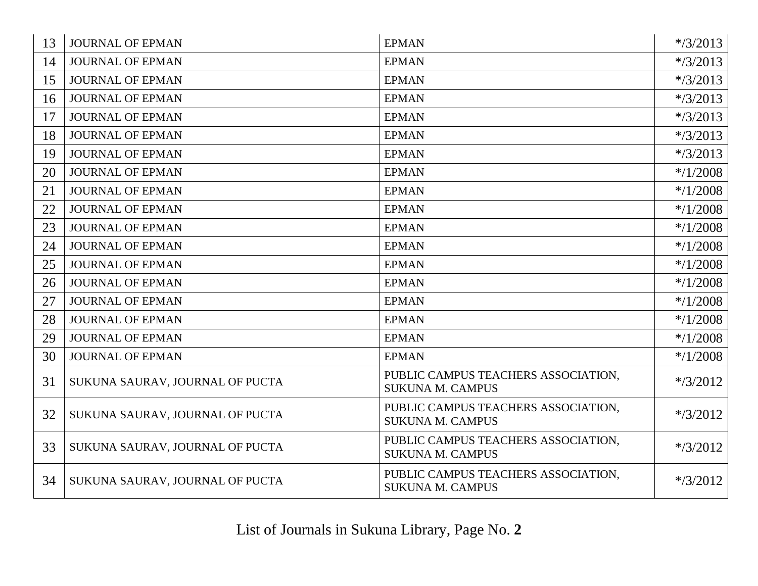| 13 | <b>JOURNAL OF EPMAN</b>         | <b>EPMAN</b>                                                   | $*$ /3/2013 |
|----|---------------------------------|----------------------------------------------------------------|-------------|
| 14 | <b>JOURNAL OF EPMAN</b>         | <b>EPMAN</b>                                                   | $*$ /3/2013 |
| 15 | <b>JOURNAL OF EPMAN</b>         | <b>EPMAN</b>                                                   | $*$ /3/2013 |
| 16 | <b>JOURNAL OF EPMAN</b>         | <b>EPMAN</b>                                                   | $*$ /3/2013 |
| 17 | <b>JOURNAL OF EPMAN</b>         | <b>EPMAN</b>                                                   | $*$ /3/2013 |
| 18 | <b>JOURNAL OF EPMAN</b>         | <b>EPMAN</b>                                                   | $*$ /3/2013 |
| 19 | <b>JOURNAL OF EPMAN</b>         | <b>EPMAN</b>                                                   | $*$ /3/2013 |
| 20 | <b>JOURNAL OF EPMAN</b>         | <b>EPMAN</b>                                                   | $*$ /1/2008 |
| 21 | <b>JOURNAL OF EPMAN</b>         | <b>EPMAN</b>                                                   | $*$ /1/2008 |
| 22 | <b>JOURNAL OF EPMAN</b>         | <b>EPMAN</b>                                                   | $*$ /1/2008 |
| 23 | <b>JOURNAL OF EPMAN</b>         | <b>EPMAN</b>                                                   | $*$ /1/2008 |
| 24 | <b>JOURNAL OF EPMAN</b>         | <b>EPMAN</b>                                                   | $*$ /1/2008 |
| 25 | <b>JOURNAL OF EPMAN</b>         | <b>EPMAN</b>                                                   | $*$ /1/2008 |
| 26 | <b>JOURNAL OF EPMAN</b>         | <b>EPMAN</b>                                                   | $*$ /1/2008 |
| 27 | <b>JOURNAL OF EPMAN</b>         | <b>EPMAN</b>                                                   | $*$ /1/2008 |
| 28 | <b>JOURNAL OF EPMAN</b>         | <b>EPMAN</b>                                                   | $*$ /1/2008 |
| 29 | <b>JOURNAL OF EPMAN</b>         | <b>EPMAN</b>                                                   | $*$ /1/2008 |
| 30 | <b>JOURNAL OF EPMAN</b>         | <b>EPMAN</b>                                                   | $*$ /1/2008 |
| 31 | SUKUNA SAURAV, JOURNAL OF PUCTA | PUBLIC CAMPUS TEACHERS ASSOCIATION,<br><b>SUKUNA M. CAMPUS</b> | $*$ /3/2012 |
| 32 | SUKUNA SAURAV, JOURNAL OF PUCTA | PUBLIC CAMPUS TEACHERS ASSOCIATION,<br><b>SUKUNA M. CAMPUS</b> | $*$ /3/2012 |
| 33 | SUKUNA SAURAV, JOURNAL OF PUCTA | PUBLIC CAMPUS TEACHERS ASSOCIATION,<br><b>SUKUNA M. CAMPUS</b> | $*$ /3/2012 |
| 34 | SUKUNA SAURAV, JOURNAL OF PUCTA | PUBLIC CAMPUS TEACHERS ASSOCIATION,<br><b>SUKUNA M. CAMPUS</b> | $*$ /3/2012 |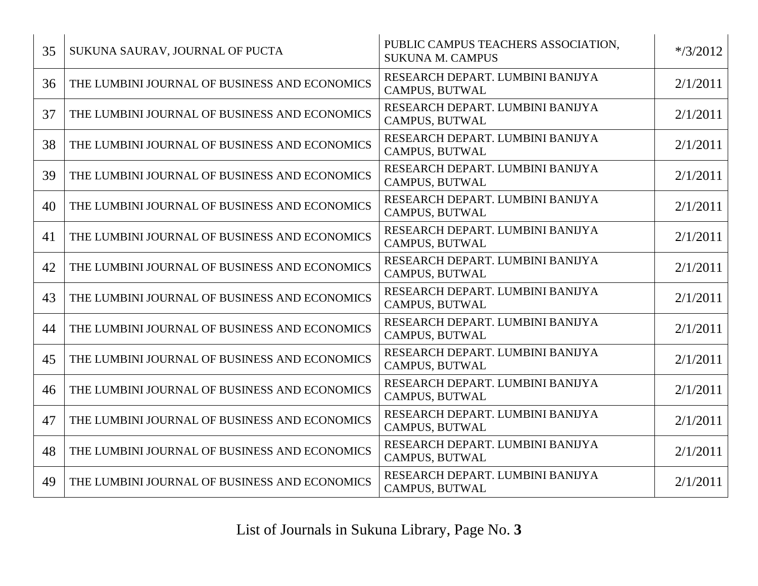| 35 | SUKUNA SAURAV, JOURNAL OF PUCTA               | PUBLIC CAMPUS TEACHERS ASSOCIATION,<br><b>SUKUNA M. CAMPUS</b> | $*$ /3/2012 |
|----|-----------------------------------------------|----------------------------------------------------------------|-------------|
| 36 | THE LUMBINI JOURNAL OF BUSINESS AND ECONOMICS | RESEARCH DEPART. LUMBINI BANIJYA<br><b>CAMPUS, BUTWAL</b>      | 2/1/2011    |
| 37 | THE LUMBINI JOURNAL OF BUSINESS AND ECONOMICS | RESEARCH DEPART. LUMBINI BANIJYA<br><b>CAMPUS, BUTWAL</b>      | 2/1/2011    |
| 38 | THE LUMBINI JOURNAL OF BUSINESS AND ECONOMICS | RESEARCH DEPART. LUMBINI BANIJYA<br>CAMPUS, BUTWAL             | 2/1/2011    |
| 39 | THE LUMBINI JOURNAL OF BUSINESS AND ECONOMICS | RESEARCH DEPART. LUMBINI BANIJYA<br>CAMPUS, BUTWAL             | 2/1/2011    |
| 40 | THE LUMBINI JOURNAL OF BUSINESS AND ECONOMICS | RESEARCH DEPART. LUMBINI BANIJYA<br><b>CAMPUS, BUTWAL</b>      | 2/1/2011    |
| 41 | THE LUMBINI JOURNAL OF BUSINESS AND ECONOMICS | RESEARCH DEPART. LUMBINI BANIJYA<br>CAMPUS, BUTWAL             | 2/1/2011    |
| 42 | THE LUMBINI JOURNAL OF BUSINESS AND ECONOMICS | RESEARCH DEPART. LUMBINI BANIJYA<br>CAMPUS, BUTWAL             | 2/1/2011    |
| 43 | THE LUMBINI JOURNAL OF BUSINESS AND ECONOMICS | RESEARCH DEPART. LUMBINI BANIJYA<br>CAMPUS, BUTWAL             | 2/1/2011    |
| 44 | THE LUMBINI JOURNAL OF BUSINESS AND ECONOMICS | RESEARCH DEPART. LUMBINI BANIJYA<br>CAMPUS, BUTWAL             | 2/1/2011    |
| 45 | THE LUMBINI JOURNAL OF BUSINESS AND ECONOMICS | RESEARCH DEPART. LUMBINI BANIJYA<br>CAMPUS, BUTWAL             | 2/1/2011    |
| 46 | THE LUMBINI JOURNAL OF BUSINESS AND ECONOMICS | RESEARCH DEPART. LUMBINI BANIJYA<br>CAMPUS, BUTWAL             | 2/1/2011    |
| 47 | THE LUMBINI JOURNAL OF BUSINESS AND ECONOMICS | RESEARCH DEPART. LUMBINI BANIJYA<br>CAMPUS, BUTWAL             | 2/1/2011    |
| 48 | THE LUMBINI JOURNAL OF BUSINESS AND ECONOMICS | RESEARCH DEPART. LUMBINI BANIJYA<br>CAMPUS, BUTWAL             | 2/1/2011    |
| 49 | THE LUMBINI JOURNAL OF BUSINESS AND ECONOMICS | RESEARCH DEPART. LUMBINI BANIJYA<br><b>CAMPUS, BUTWAL</b>      | 2/1/2011    |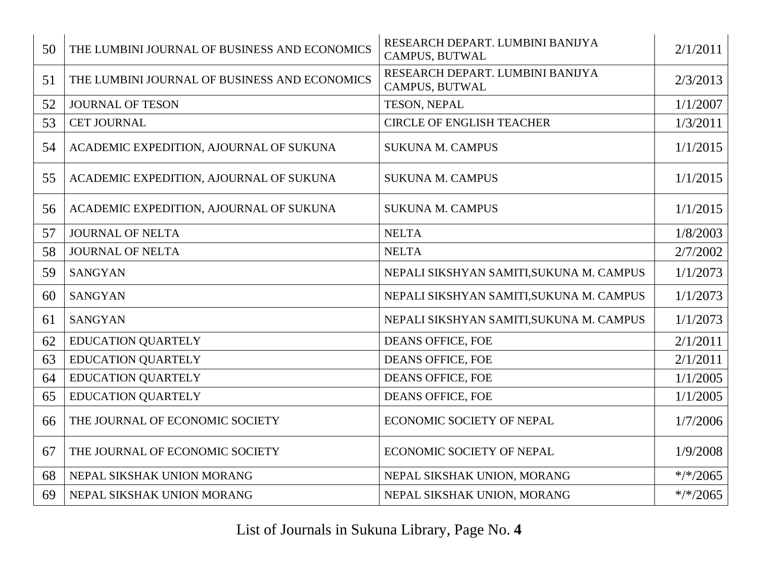| 50 | THE LUMBINI JOURNAL OF BUSINESS AND ECONOMICS | RESEARCH DEPART. LUMBINI BANIJYA<br><b>CAMPUS, BUTWAL</b> | 2/1/2011    |
|----|-----------------------------------------------|-----------------------------------------------------------|-------------|
| 51 | THE LUMBINI JOURNAL OF BUSINESS AND ECONOMICS | RESEARCH DEPART. LUMBINI BANIJYA<br>CAMPUS, BUTWAL        | 2/3/2013    |
| 52 | <b>JOURNAL OF TESON</b>                       | TESON, NEPAL                                              | 1/1/2007    |
| 53 | CET JOURNAL                                   | <b>CIRCLE OF ENGLISH TEACHER</b>                          | 1/3/2011    |
| 54 | ACADEMIC EXPEDITION, AJOURNAL OF SUKUNA       | <b>SUKUNA M. CAMPUS</b>                                   | 1/1/2015    |
| 55 | ACADEMIC EXPEDITION, AJOURNAL OF SUKUNA       | <b>SUKUNA M. CAMPUS</b>                                   | 1/1/2015    |
| 56 | ACADEMIC EXPEDITION, AJOURNAL OF SUKUNA       | <b>SUKUNA M. CAMPUS</b>                                   | 1/1/2015    |
| 57 | <b>JOURNAL OF NELTA</b>                       | <b>NELTA</b>                                              | 1/8/2003    |
| 58 | JOURNAL OF NELTA                              | <b>NELTA</b>                                              | 2/7/2002    |
| 59 | <b>SANGYAN</b>                                | NEPALI SIKSHYAN SAMITI, SUKUNA M. CAMPUS                  | 1/1/2073    |
| 60 | <b>SANGYAN</b>                                | NEPALI SIKSHYAN SAMITI, SUKUNA M. CAMPUS                  | 1/1/2073    |
| 61 | <b>SANGYAN</b>                                | NEPALI SIKSHYAN SAMITI, SUKUNA M. CAMPUS                  | 1/1/2073    |
| 62 | <b>EDUCATION QUARTELY</b>                     | <b>DEANS OFFICE, FOE</b>                                  | 2/1/2011    |
| 63 | <b>EDUCATION QUARTELY</b>                     | <b>DEANS OFFICE, FOE</b>                                  | 2/1/2011    |
| 64 | <b>EDUCATION QUARTELY</b>                     | DEANS OFFICE, FOE                                         | 1/1/2005    |
| 65 | <b>EDUCATION QUARTELY</b>                     | <b>DEANS OFFICE, FOE</b>                                  | 1/1/2005    |
| 66 | THE JOURNAL OF ECONOMIC SOCIETY               | ECONOMIC SOCIETY OF NEPAL                                 | 1/7/2006    |
| 67 | THE JOURNAL OF ECONOMIC SOCIETY               | ECONOMIC SOCIETY OF NEPAL                                 | 1/9/2008    |
| 68 | NEPAL SIKSHAK UNION MORANG                    | NEPAL SIKSHAK UNION, MORANG                               | $*$ /*/2065 |
| 69 | NEPAL SIKSHAK UNION MORANG                    | NEPAL SIKSHAK UNION, MORANG                               | $*$ /*/2065 |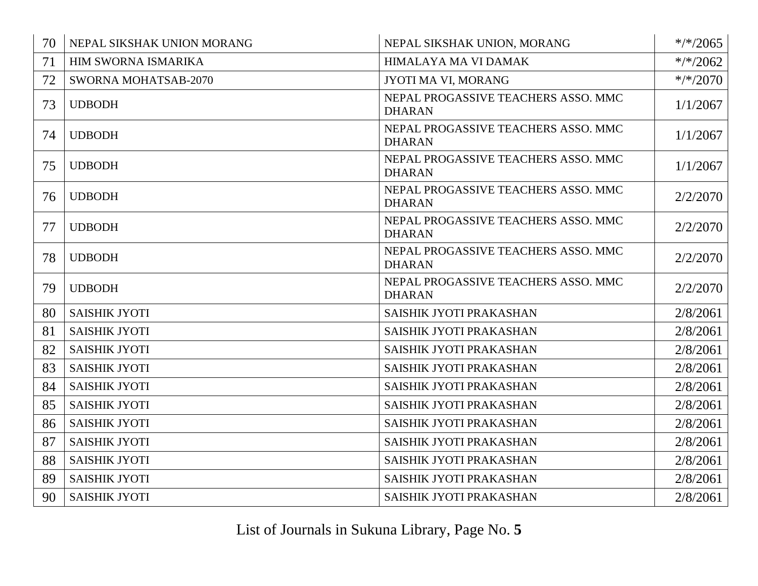| 70 | NEPAL SIKSHAK UNION MORANG  | NEPAL SIKSHAK UNION, MORANG                          | $*/*/2065$  |
|----|-----------------------------|------------------------------------------------------|-------------|
| 71 | <b>HIM SWORNA ISMARIKA</b>  | HIMALAYA MA VI DAMAK                                 | $*/*/2062$  |
| 72 | <b>SWORNA MOHATSAB-2070</b> | JYOTI MA VI, MORANG                                  | $*$ /*/2070 |
| 73 | <b>UDBODH</b>               | NEPAL PROGASSIVE TEACHERS ASSO. MMC<br><b>DHARAN</b> | 1/1/2067    |
| 74 | <b>UDBODH</b>               | NEPAL PROGASSIVE TEACHERS ASSO. MMC<br><b>DHARAN</b> | 1/1/2067    |
| 75 | <b>UDBODH</b>               | NEPAL PROGASSIVE TEACHERS ASSO. MMC<br><b>DHARAN</b> | 1/1/2067    |
| 76 | <b>UDBODH</b>               | NEPAL PROGASSIVE TEACHERS ASSO. MMC<br><b>DHARAN</b> | 2/2/2070    |
| 77 | <b>UDBODH</b>               | NEPAL PROGASSIVE TEACHERS ASSO. MMC<br><b>DHARAN</b> | 2/2/2070    |
| 78 | <b>UDBODH</b>               | NEPAL PROGASSIVE TEACHERS ASSO. MMC<br><b>DHARAN</b> | 2/2/2070    |
| 79 | <b>UDBODH</b>               | NEPAL PROGASSIVE TEACHERS ASSO. MMC<br><b>DHARAN</b> | 2/2/2070    |
| 80 | <b>SAISHIK JYOTI</b>        | SAISHIK JYOTI PRAKASHAN                              | 2/8/2061    |
| 81 | <b>SAISHIK JYOTI</b>        | SAISHIK JYOTI PRAKASHAN                              | 2/8/2061    |
| 82 | <b>SAISHIK JYOTI</b>        | SAISHIK JYOTI PRAKASHAN                              | 2/8/2061    |
| 83 | <b>SAISHIK JYOTI</b>        | SAISHIK JYOTI PRAKASHAN                              | 2/8/2061    |
| 84 | <b>SAISHIK JYOTI</b>        | SAISHIK JYOTI PRAKASHAN                              | 2/8/2061    |
| 85 | <b>SAISHIK JYOTI</b>        | SAISHIK JYOTI PRAKASHAN                              | 2/8/2061    |
| 86 | <b>SAISHIK JYOTI</b>        | SAISHIK JYOTI PRAKASHAN                              | 2/8/2061    |
| 87 | <b>SAISHIK JYOTI</b>        | SAISHIK JYOTI PRAKASHAN                              | 2/8/2061    |
| 88 | SAISHIK JYOTI               | SAISHIK JYOTI PRAKASHAN                              | 2/8/2061    |
| 89 | <b>SAISHIK JYOTI</b>        | SAISHIK JYOTI PRAKASHAN                              | 2/8/2061    |
| 90 | <b>SAISHIK JYOTI</b>        | SAISHIK JYOTI PRAKASHAN                              | 2/8/2061    |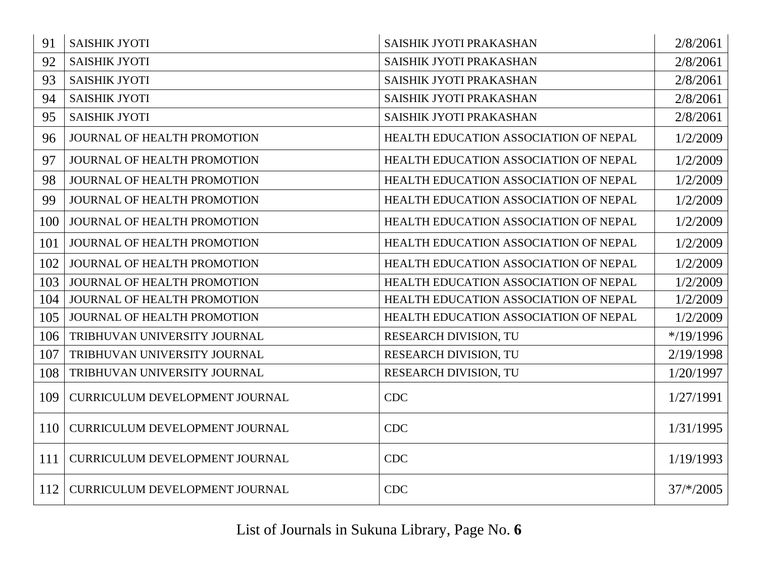| 91  | <b>SAISHIK JYOTI</b>                  | SAISHIK JYOTI PRAKASHAN               | 2/8/2061     |
|-----|---------------------------------------|---------------------------------------|--------------|
| 92  | <b>SAISHIK JYOTI</b>                  | SAISHIK JYOTI PRAKASHAN               | 2/8/2061     |
| 93  | <b>SAISHIK JYOTI</b>                  | SAISHIK JYOTI PRAKASHAN               | 2/8/2061     |
| 94  | <b>SAISHIK JYOTI</b>                  | SAISHIK JYOTI PRAKASHAN               | 2/8/2061     |
| 95  | <b>SAISHIK JYOTI</b>                  | SAISHIK JYOTI PRAKASHAN               | 2/8/2061     |
| 96  | JOURNAL OF HEALTH PROMOTION           | HEALTH EDUCATION ASSOCIATION OF NEPAL | 1/2/2009     |
| 97  | <b>JOURNAL OF HEALTH PROMOTION</b>    | HEALTH EDUCATION ASSOCIATION OF NEPAL | 1/2/2009     |
| 98  | JOURNAL OF HEALTH PROMOTION           | HEALTH EDUCATION ASSOCIATION OF NEPAL | 1/2/2009     |
| 99  | JOURNAL OF HEALTH PROMOTION           | HEALTH EDUCATION ASSOCIATION OF NEPAL | 1/2/2009     |
| 100 | JOURNAL OF HEALTH PROMOTION           | HEALTH EDUCATION ASSOCIATION OF NEPAL | 1/2/2009     |
| 101 | JOURNAL OF HEALTH PROMOTION           | HEALTH EDUCATION ASSOCIATION OF NEPAL | 1/2/2009     |
| 102 | JOURNAL OF HEALTH PROMOTION           | HEALTH EDUCATION ASSOCIATION OF NEPAL | 1/2/2009     |
| 103 | JOURNAL OF HEALTH PROMOTION           | HEALTH EDUCATION ASSOCIATION OF NEPAL | 1/2/2009     |
| 104 | JOURNAL OF HEALTH PROMOTION           | HEALTH EDUCATION ASSOCIATION OF NEPAL | 1/2/2009     |
| 105 | JOURNAL OF HEALTH PROMOTION           | HEALTH EDUCATION ASSOCIATION OF NEPAL | 1/2/2009     |
| 106 | TRIBHUVAN UNIVERSITY JOURNAL          | <b>RESEARCH DIVISION, TU</b>          | $*$ /19/1996 |
| 107 | TRIBHUVAN UNIVERSITY JOURNAL          | RESEARCH DIVISION, TU                 | 2/19/1998    |
| 108 | TRIBHUVAN UNIVERSITY JOURNAL          | RESEARCH DIVISION, TU                 | 1/20/1997    |
| 109 | CURRICULUM DEVELOPMENT JOURNAL        | <b>CDC</b>                            | 1/27/1991    |
| 110 | CURRICULUM DEVELOPMENT JOURNAL        | <b>CDC</b>                            | 1/31/1995    |
| 111 | CURRICULUM DEVELOPMENT JOURNAL        | <b>CDC</b>                            | 1/19/1993    |
| 112 | <b>CURRICULUM DEVELOPMENT JOURNAL</b> | <b>CDC</b>                            | $37/*/2005$  |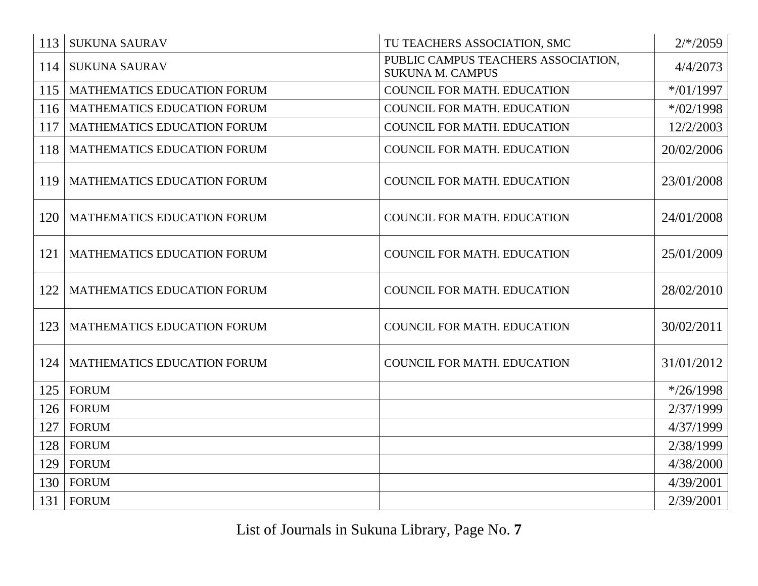| 113 | <b>SUKUNA SAURAV</b>               | TU TEACHERS ASSOCIATION, SMC                                   | $2/*/2059$   |
|-----|------------------------------------|----------------------------------------------------------------|--------------|
| 114 | <b>SUKUNA SAURAV</b>               | PUBLIC CAMPUS TEACHERS ASSOCIATION,<br><b>SUKUNA M. CAMPUS</b> | 4/4/2073     |
| 115 | <b>MATHEMATICS EDUCATION FORUM</b> | <b>COUNCIL FOR MATH. EDUCATION</b>                             | $*$ /01/1997 |
| 116 | MATHEMATICS EDUCATION FORUM        | COUNCIL FOR MATH. EDUCATION                                    | $*$ /02/1998 |
| 117 | MATHEMATICS EDUCATION FORUM        | <b>COUNCIL FOR MATH. EDUCATION</b>                             | 12/2/2003    |
| 118 | MATHEMATICS EDUCATION FORUM        | COUNCIL FOR MATH. EDUCATION                                    | 20/02/2006   |
| 119 | MATHEMATICS EDUCATION FORUM        | COUNCIL FOR MATH. EDUCATION                                    | 23/01/2008   |
| 120 | MATHEMATICS EDUCATION FORUM        | <b>COUNCIL FOR MATH. EDUCATION</b>                             | 24/01/2008   |
| 121 | MATHEMATICS EDUCATION FORUM        | <b>COUNCIL FOR MATH. EDUCATION</b>                             | 25/01/2009   |
| 122 | MATHEMATICS EDUCATION FORUM        | <b>COUNCIL FOR MATH. EDUCATION</b>                             | 28/02/2010   |
| 123 | MATHEMATICS EDUCATION FORUM        | COUNCIL FOR MATH. EDUCATION                                    | 30/02/2011   |
| 124 | MATHEMATICS EDUCATION FORUM        | <b>COUNCIL FOR MATH. EDUCATION</b>                             | 31/01/2012   |
| 125 | <b>FORUM</b>                       |                                                                | $*$ /26/1998 |
| 126 | <b>FORUM</b>                       |                                                                | 2/37/1999    |
| 127 | <b>FORUM</b>                       |                                                                | 4/37/1999    |
| 128 | <b>FORUM</b>                       |                                                                | 2/38/1999    |
| 129 | <b>FORUM</b>                       |                                                                | 4/38/2000    |
| 130 | <b>FORUM</b>                       |                                                                | 4/39/2001    |
| 131 | <b>FORUM</b>                       |                                                                | 2/39/2001    |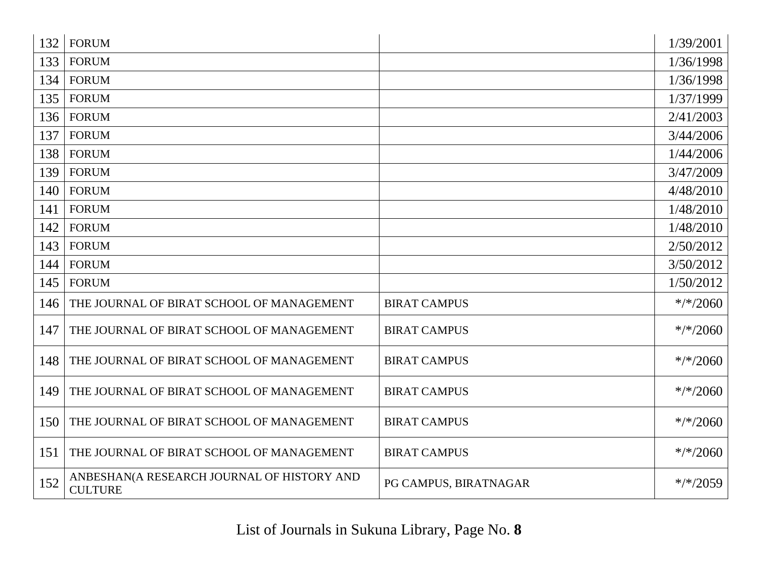| 132 | <b>FORUM</b>                                                 |                       | 1/39/2001   |
|-----|--------------------------------------------------------------|-----------------------|-------------|
| 133 | <b>FORUM</b>                                                 |                       | 1/36/1998   |
| 134 | <b>FORUM</b>                                                 |                       | 1/36/1998   |
| 135 | <b>FORUM</b>                                                 |                       | 1/37/1999   |
| 136 | <b>FORUM</b>                                                 |                       | 2/41/2003   |
| 137 | <b>FORUM</b>                                                 |                       | 3/44/2006   |
| 138 | <b>FORUM</b>                                                 |                       | 1/44/2006   |
| 139 | <b>FORUM</b>                                                 |                       | 3/47/2009   |
| 140 | <b>FORUM</b>                                                 |                       | 4/48/2010   |
| 141 | <b>FORUM</b>                                                 |                       | 1/48/2010   |
| 142 | <b>FORUM</b>                                                 |                       | 1/48/2010   |
| 143 | <b>FORUM</b>                                                 |                       | 2/50/2012   |
| 144 | <b>FORUM</b>                                                 |                       | 3/50/2012   |
| 145 | <b>FORUM</b>                                                 |                       | 1/50/2012   |
| 146 | THE JOURNAL OF BIRAT SCHOOL OF MANAGEMENT                    | <b>BIRAT CAMPUS</b>   | $*$ /*/2060 |
| 147 | THE JOURNAL OF BIRAT SCHOOL OF MANAGEMENT                    | <b>BIRAT CAMPUS</b>   | $*/*/2060$  |
| 148 | THE JOURNAL OF BIRAT SCHOOL OF MANAGEMENT                    | <b>BIRAT CAMPUS</b>   | $*$ /*/2060 |
| 149 | THE JOURNAL OF BIRAT SCHOOL OF MANAGEMENT                    | <b>BIRAT CAMPUS</b>   | $*/*/2060$  |
| 150 | THE JOURNAL OF BIRAT SCHOOL OF MANAGEMENT                    | <b>BIRAT CAMPUS</b>   | $*$ /*/2060 |
| 151 | THE JOURNAL OF BIRAT SCHOOL OF MANAGEMENT                    | <b>BIRAT CAMPUS</b>   | $*$ /*/2060 |
| 152 | ANBESHAN(A RESEARCH JOURNAL OF HISTORY AND<br><b>CULTURE</b> | PG CAMPUS, BIRATNAGAR | $*$ /*/2059 |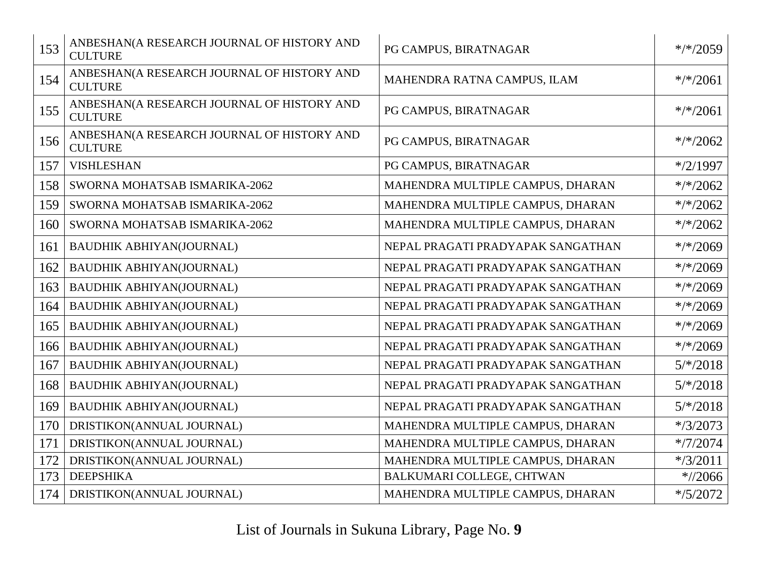| 153 | ANBESHAN(A RESEARCH JOURNAL OF HISTORY AND<br><b>CULTURE</b> | PG CAMPUS, BIRATNAGAR             | $*/2059$    |
|-----|--------------------------------------------------------------|-----------------------------------|-------------|
| 154 | ANBESHAN(A RESEARCH JOURNAL OF HISTORY AND<br><b>CULTURE</b> | MAHENDRA RATNA CAMPUS, ILAM       | $*$ /*/2061 |
| 155 | ANBESHAN(A RESEARCH JOURNAL OF HISTORY AND<br><b>CULTURE</b> | PG CAMPUS, BIRATNAGAR             | $*$ /*/2061 |
| 156 | ANBESHAN(A RESEARCH JOURNAL OF HISTORY AND<br><b>CULTURE</b> | PG CAMPUS, BIRATNAGAR             | $*$ /*/2062 |
| 157 | <b>VISHLESHAN</b>                                            | PG CAMPUS, BIRATNAGAR             | $*$ /2/1997 |
| 158 | SWORNA MOHATSAB ISMARIKA-2062                                | MAHENDRA MULTIPLE CAMPUS, DHARAN  | $*$ /*/2062 |
| 159 | SWORNA MOHATSAB ISMARIKA-2062                                | MAHENDRA MULTIPLE CAMPUS, DHARAN  | $*$ /*/2062 |
| 160 | SWORNA MOHATSAB ISMARIKA-2062                                | MAHENDRA MULTIPLE CAMPUS, DHARAN  | $*$ /*/2062 |
| 161 | <b>BAUDHIK ABHIYAN(JOURNAL)</b>                              | NEPAL PRAGATI PRADYAPAK SANGATHAN | $*/*/2069$  |
| 162 | <b>BAUDHIK ABHIYAN(JOURNAL)</b>                              | NEPAL PRAGATI PRADYAPAK SANGATHAN | $*$ /*/2069 |
| 163 | <b>BAUDHIK ABHIYAN(JOURNAL)</b>                              | NEPAL PRAGATI PRADYAPAK SANGATHAN | $*$ /*/2069 |
| 164 | <b>BAUDHIK ABHIYAN(JOURNAL)</b>                              | NEPAL PRAGATI PRADYAPAK SANGATHAN | $*$ /*/2069 |
| 165 | <b>BAUDHIK ABHIYAN(JOURNAL)</b>                              | NEPAL PRAGATI PRADYAPAK SANGATHAN | $*$ /*/2069 |
| 166 | <b>BAUDHIK ABHIYAN(JOURNAL)</b>                              | NEPAL PRAGATI PRADYAPAK SANGATHAN | $*$ /*/2069 |
| 167 | <b>BAUDHIK ABHIYAN(JOURNAL)</b>                              | NEPAL PRAGATI PRADYAPAK SANGATHAN | $5/*/2018$  |
| 168 | <b>BAUDHIK ABHIYAN(JOURNAL)</b>                              | NEPAL PRAGATI PRADYAPAK SANGATHAN | $5/*/2018$  |
| 169 | <b>BAUDHIK ABHIYAN(JOURNAL)</b>                              | NEPAL PRAGATI PRADYAPAK SANGATHAN | $5/*/2018$  |
| 170 | DRISTIKON(ANNUAL JOURNAL)                                    | MAHENDRA MULTIPLE CAMPUS, DHARAN  | $*$ /3/2073 |
| 171 | DRISTIKON(ANNUAL JOURNAL)                                    | MAHENDRA MULTIPLE CAMPUS, DHARAN  | $*/7/2074$  |
| 172 | DRISTIKON(ANNUAL JOURNAL)                                    | MAHENDRA MULTIPLE CAMPUS, DHARAN  | $*$ /3/2011 |
| 173 | <b>DEEPSHIKA</b>                                             | BALKUMARI COLLEGE, CHTWAN         | $*//2066$   |
| 174 | DRISTIKON(ANNUAL JOURNAL)                                    | MAHENDRA MULTIPLE CAMPUS, DHARAN  | $*$ /5/2072 |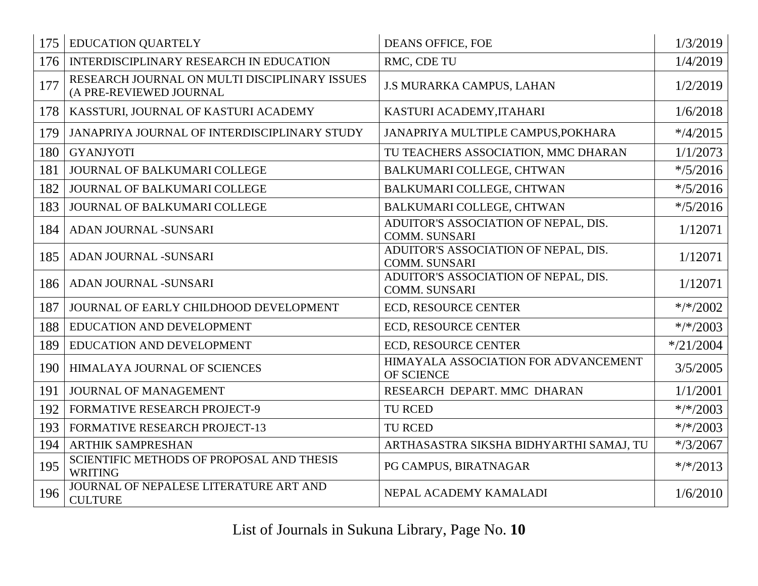| 175 | <b>EDUCATION QUARTELY</b>                                                | <b>DEANS OFFICE, FOE</b>                                     | 1/3/2019     |
|-----|--------------------------------------------------------------------------|--------------------------------------------------------------|--------------|
| 176 | INTERDISCIPLINARY RESEARCH IN EDUCATION                                  | RMC, CDE TU                                                  | 1/4/2019     |
| 177 | RESEARCH JOURNAL ON MULTI DISCIPLINARY ISSUES<br>(A PRE-REVIEWED JOURNAL | J.S MURARKA CAMPUS, LAHAN                                    | 1/2/2019     |
| 178 | KASSTURI, JOURNAL OF KASTURI ACADEMY                                     | KASTURI ACADEMY, ITAHARI                                     | 1/6/2018     |
| 179 | JANAPRIYA JOURNAL OF INTERDISCIPLINARY STUDY                             | JANAPRIYA MULTIPLE CAMPUS, POKHARA                           | $*$ /4/2015  |
| 180 | <b>GYANJYOTI</b>                                                         | TU TEACHERS ASSOCIATION, MMC DHARAN                          | 1/1/2073     |
| 181 | JOURNAL OF BALKUMARI COLLEGE                                             | BALKUMARI COLLEGE, CHTWAN                                    | $*$ /5/2016  |
| 182 | JOURNAL OF BALKUMARI COLLEGE                                             | BALKUMARI COLLEGE, CHTWAN                                    | $*$ /5/2016  |
| 183 | JOURNAL OF BALKUMARI COLLEGE                                             | BALKUMARI COLLEGE, CHTWAN                                    | $*$ /5/2016  |
| 184 | ADAN JOURNAL -SUNSARI                                                    | ADUITOR'S ASSOCIATION OF NEPAL, DIS.<br><b>COMM. SUNSARI</b> | 1/12071      |
| 185 | ADAN JOURNAL -SUNSARI                                                    | ADUITOR'S ASSOCIATION OF NEPAL, DIS.<br><b>COMM. SUNSARI</b> | 1/12071      |
| 186 | ADAN JOURNAL -SUNSARI                                                    | ADUITOR'S ASSOCIATION OF NEPAL, DIS.<br><b>COMM. SUNSARI</b> | 1/12071      |
| 187 | JOURNAL OF EARLY CHILDHOOD DEVELOPMENT                                   | <b>ECD, RESOURCE CENTER</b>                                  | $*$ /*/2002  |
| 188 | EDUCATION AND DEVELOPMENT                                                | <b>ECD, RESOURCE CENTER</b>                                  | $*/*/2003$   |
| 189 | EDUCATION AND DEVELOPMENT                                                | ECD, RESOURCE CENTER                                         | $*$ /21/2004 |
| 190 | HIMALAYA JOURNAL OF SCIENCES                                             | HIMAYALA ASSOCIATION FOR ADVANCEMENT<br>OF SCIENCE           | 3/5/2005     |
| 191 | <b>JOURNAL OF MANAGEMENT</b>                                             | RESEARCH DEPART. MMC DHARAN                                  | 1/1/2001     |
| 192 | <b>FORMATIVE RESEARCH PROJECT-9</b>                                      | TU RCED                                                      | $*$ /*/2003  |
| 193 | FORMATIVE RESEARCH PROJECT-13                                            | <b>TU RCED</b>                                               | $*/*/2003$   |
| 194 | <b>ARTHIK SAMPRESHAN</b>                                                 | ARTHASASTRA SIKSHA BIDHYARTHI SAMAJ, TU                      | $*$ /3/2067  |
| 195 | SCIENTIFIC METHODS OF PROPOSAL AND THESIS<br><b>WRITING</b>              | PG CAMPUS, BIRATNAGAR                                        | $*$ /*/2013  |
| 196 | JOURNAL OF NEPALESE LITERATURE ART AND<br><b>CULTURE</b>                 | NEPAL ACADEMY KAMALADI                                       | 1/6/2010     |